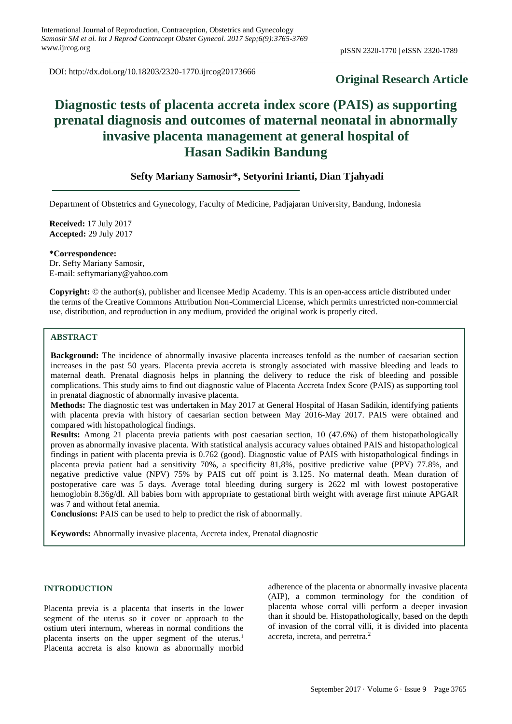DOI: http://dx.doi.org/10.18203/2320-1770.ijrcog20173666

# **Original Research Article**

# **Diagnostic tests of placenta accreta index score (PAIS) as supporting prenatal diagnosis and outcomes of maternal neonatal in abnormally invasive placenta management at general hospital of Hasan Sadikin Bandung**

# **Sefty Mariany Samosir\*, Setyorini Irianti, Dian Tjahyadi**

Department of Obstetrics and Gynecology, Faculty of Medicine, Padjajaran University, Bandung, Indonesia

**Received:** 17 July 2017 **Accepted:** 29 July 2017

**\*Correspondence:**

Dr. Sefty Mariany Samosir, E-mail: seftymariany@yahoo.com

**Copyright:** © the author(s), publisher and licensee Medip Academy. This is an open-access article distributed under the terms of the Creative Commons Attribution Non-Commercial License, which permits unrestricted non-commercial use, distribution, and reproduction in any medium, provided the original work is properly cited.

# **ABSTRACT**

**Background:** The incidence of abnormally invasive placenta increases tenfold as the number of caesarian section increases in the past 50 years. Placenta previa accreta is strongly associated with massive bleeding and leads to maternal death. Prenatal diagnosis helps in planning the delivery to reduce the risk of bleeding and possible complications. This study aims to find out diagnostic value of Placenta Accreta Index Score (PAIS) as supporting tool in prenatal diagnostic of abnormally invasive placenta.

**Methods:** The diagnostic test was undertaken in May 2017 at General Hospital of Hasan Sadikin, identifying patients with placenta previa with history of caesarian section between May 2016-May 2017. PAIS were obtained and compared with histopathological findings.

**Results:** Among 21 placenta previa patients with post caesarian section, 10 (47.6%) of them histopathologically proven as abnormally invasive placenta. With statistical analysis accuracy values obtained PAIS and histopathological findings in patient with placenta previa is 0.762 (good). Diagnostic value of PAIS with histopathological findings in placenta previa patient had a sensitivity 70%, a specificity 81,8%, positive predictive value (PPV) 77.8%, and negative predictive value (NPV) 75% by PAIS cut off point is 3.125. No maternal death. Mean duration of postoperative care was 5 days. Average total bleeding during surgery is 2622 ml with lowest postoperative hemoglobin 8.36g/dl. All babies born with appropriate to gestational birth weight with average first minute APGAR was 7 and without fetal anemia.

**Conclusions:** PAIS can be used to help to predict the risk of abnormally.

**Keywords:** Abnormally invasive placenta, Accreta index, Prenatal diagnostic

#### **INTRODUCTION**

Placenta previa is a placenta that inserts in the lower segment of the uterus so it cover or approach to the ostium uteri internum, whereas in normal conditions the placenta inserts on the upper segment of the uterus.<sup>1</sup> Placenta accreta is also known as abnormally morbid adherence of the placenta or abnormally invasive placenta (AIP), a common terminology for the condition of placenta whose corral villi perform a deeper invasion than it should be. Histopathologically, based on the depth of invasion of the corral villi, it is divided into placenta accreta, increta, and perretra.<sup>2</sup>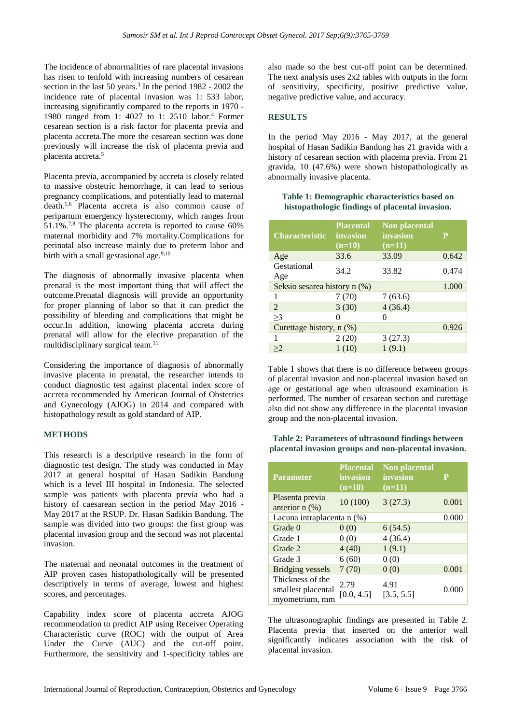The incidence of abnormalities of rare placental invasions has risen to tenfold with increasing numbers of cesarean section in the last 50 years.<sup>3</sup> In the period 1982 - 2002 the incidence rate of placental invasion was 1: 533 labor, increasing significantly compared to the reports in 1970 - 1980 ranged from 1: 4027 to 1: 2510 labor.<sup>4</sup> Former cesarean section is a risk factor for placenta previa and placenta accreta.The more the cesarean section was done previously will increase the risk of placenta previa and placenta accreta.<sup>5</sup>

Placenta previa, accompanied by accreta is closely related to massive obstetric hemorrhage, it can lead to serious pregnancy complications, and potentially lead to maternal death.1,6 Placenta accreta is also common cause of peripartum emergency hysterectomy, which ranges from 51.1%.7,8 The placenta accreta is reported to cause 60% maternal morbidity and 7% mortality.Complications for perinatal also increase mainly due to preterm labor and birth with a small gestasional age.<sup>9,10</sup>

The diagnosis of abnormally invasive placenta when prenatal is the most important thing that will affect the outcome.Prenatal diagnosis will provide an opportunity for proper planning of labor so that it can predict the possibility of bleeding and complications that might be occur.In addition, knowing placenta accreta during prenatal will allow for the elective preparation of the multidisciplinary surgical team. $11$ 

Considering the importance of diagnosis of abnormally invasive placenta in prenatal, the researcher intends to conduct diagnostic test against placental index score of accreta recommended by American Journal of Obstetrics and Gynecology (AJOG) in 2014 and compared with histopathology result as gold standard of AIP.

# **METHODS**

This research is a descriptive research in the form of diagnostic test design. The study was conducted in May 2017 at general hospital of Hasan Sadikin Bandung which is a level III hospital in Indonesia. The selected sample was patients with placenta previa who had a history of caesarean section in the period May 2016 - May 2017 at the RSUP. Dr. Hasan Sadikin Bandung. The sample was divided into two groups: the first group was placental invasion group and the second was not placental invasion.

The maternal and neonatal outcomes in the treatment of AIP proven cases histopathologically will be presented descriptively in terms of average, lowest and highest scores, and percentages.

Capability index score of placenta accreta AJOG recommendation to predict AIP using Receiver Operating Characteristic curve (ROC) with the output of Area Under the Curve (AUC) and the cut-off point. Furthermore, the sensitivity and 1-specificity tables are also made so the best cut-off point can be determined. The next analysis uses 2x2 tables with outputs in the form of sensitivity, specificity, positive predictive value, negative predictive value, and accuracy.

# **RESULTS**

In the period May 2016 - May 2017, at the general hospital of Hasan Sadikin Bandung has 21 gravida with a history of cesarean section with placenta previa. From 21 gravida, 10 (47.6%) were shown histopathologically as abnormally invasive placenta.

#### **Table 1: Demographic characteristics based on histopathologic findings of placental invasion.**

| <b>Characteristic</b>        | <b>Placental</b><br>invasion<br>$(n=10)$ | <b>Non placental</b><br><b>invasion</b><br>$(n=11)$ | P     |
|------------------------------|------------------------------------------|-----------------------------------------------------|-------|
| Age                          | 33.6                                     | 33.09                                               | 0.642 |
| Gestational<br>Age           | 34.2                                     | 33.82                                               | 0.474 |
| Seksio sesarea history n (%) |                                          |                                                     | 1.000 |
| 1                            | 7(70)                                    | 7(63.6)                                             |       |
| $\overline{2}$               | 3(30)                                    | 4(36.4)                                             |       |
| $\geq$ 3                     | Ω                                        |                                                     |       |
| Curettage history, n (%)     |                                          |                                                     | 0.926 |
|                              | 2(20)                                    | 3(27.3)                                             |       |
| >2                           | 1(10)                                    | 1(9.1)                                              |       |

Table 1 shows that there is no difference between groups of placental invasion and non-placental invasion based on age or gestational age when ultrasound examination is performed. The number of cesarean section and curettage also did not show any difference in the placental invasion group and the non-placental invasion.

## **Table 2: Parameters of ultrasound findings between placental invasion groups and non-placental invasion.**

| <b>Parameter</b>                                         | <b>Placental</b><br>invasion<br>$(n=10)$ | <b>Non placental</b><br>invasion<br>$(n=11)$ | Р     |
|----------------------------------------------------------|------------------------------------------|----------------------------------------------|-------|
| Plasenta previa<br>anterior $n$ $(\%)$                   | 10(100)                                  | 3(27.3)                                      | 0.001 |
| Lacuna intraplacenta n (%)                               |                                          |                                              | 0.000 |
| Grade 0                                                  | 0(0)                                     | 6(54.5)                                      |       |
| Grade 1                                                  | 0(0)                                     | 4(36.4)                                      |       |
| Grade 2                                                  | 4(40)                                    | 1(9.1)                                       |       |
| Grade 3                                                  | 6(60)                                    | 0(0)                                         |       |
| Bridging vessels                                         | 7(70)                                    | 0(0)                                         | 0.001 |
| Thickness of the<br>smallest placental<br>myometrium, mm | 2.79<br>[0.0, 4.5]                       | 4.91<br>[3.5, 5.5]                           | 0.000 |

The ultrasonographic findings are presented in Table 2. Placenta previa that inserted on the anterior wall significantly indicates association with the risk of placental invasion.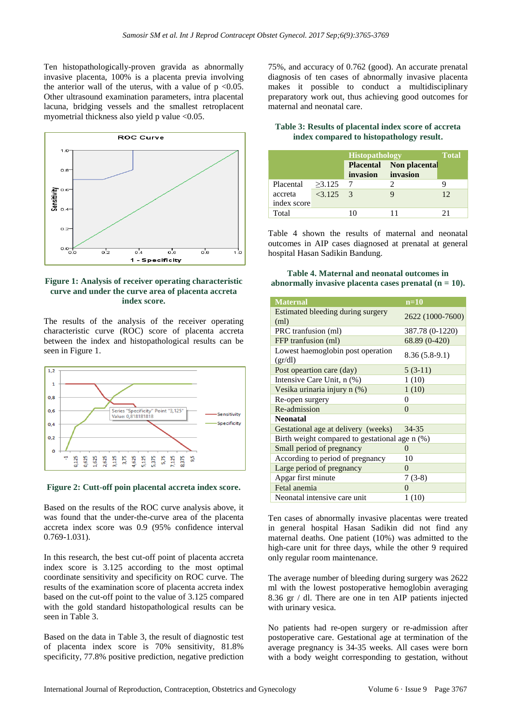Ten histopathologically-proven gravida as abnormally invasive placenta, 100% is a placenta previa involving the anterior wall of the uterus, with a value of  $p \le 0.05$ . Other ultrasound examination parameters, intra placental lacuna, bridging vessels and the smallest retroplacent myometrial thickness also yield p value <0.05.



## **Figure 1: Analysis of receiver operating characteristic curve and under the curve area of placenta accreta index score.**

The results of the analysis of the receiver operating characteristic curve (ROC) score of placenta accreta between the index and histopathological results can be seen in Figure 1.



#### **Figure 2: Cutt-off poin placental accreta index score.**

Based on the results of the ROC curve analysis above, it was found that the under-the-curve area of the placenta accreta index score was 0.9 (95% confidence interval 0.769-1.031).

In this research, the best cut-off point of placenta accreta index score is 3.125 according to the most optimal coordinate sensitivity and specificity on ROC curve. The results of the examination score of placenta accreta index based on the cut-off point to the value of 3.125 compared with the gold standard histopathological results can be seen in Table 3.

Based on the data in Table 3, the result of diagnostic test of placenta index score is 70% sensitivity, 81.8% specificity, 77.8% positive prediction, negative prediction

75%, and accuracy of 0.762 (good). An accurate prenatal diagnosis of ten cases of abnormally invasive placenta makes it possible to conduct a multidisciplinary preparatory work out, thus achieving good outcomes for maternal and neonatal care.

| Table 3: Results of placental index score of accreta |  |
|------------------------------------------------------|--|
| index compared to histopathology result.             |  |

|             |            | <b>Histopathology</b>                 |               | <b>Total</b> |
|-------------|------------|---------------------------------------|---------------|--------------|
|             |            | <b>Placental</b><br>invasion invasion | Non placental |              |
| Placental   | $>3.125$ 7 |                                       |               |              |
| accreta     | $<3.125$ 3 |                                       |               | 12           |
| index score |            |                                       |               |              |
| Total       |            |                                       |               |              |

Table 4 shown the results of maternal and neonatal outcomes in AIP cases diagnosed at prenatal at general hospital Hasan Sadikin Bandung.

#### **Table 4. Maternal and neonatal outcomes in abnormally invasive placenta cases prenatal (n = 10).**

| <b>Maternal</b>                                | $n=10$           |  |  |
|------------------------------------------------|------------------|--|--|
| Estimated bleeding during surgery<br>(ml)      | 2622 (1000-7600) |  |  |
| PRC tranfusion (ml)                            | 387.78 (0-1220)  |  |  |
| FFP tranfusion (ml)                            | 68.89 (0-420)    |  |  |
| Lowest haemoglobin post operation<br>gr/dl     | $8.36(5.8-9.1)$  |  |  |
| Post opeartion care (day)                      | $5(3-11)$        |  |  |
| Intensive Care Unit, n (%)                     | 1(10)            |  |  |
| Vesika urinaria injury n (%)                   | 1(10)            |  |  |
| Re-open surgery                                | $\theta$         |  |  |
| Re-admission                                   | 0                |  |  |
| <b>Neonatal</b>                                |                  |  |  |
| Gestational age at delivery (weeks)            | 34-35            |  |  |
| Birth weight compared to gestational age n (%) |                  |  |  |
| Small period of pregnancy                      | $\Omega$         |  |  |
| According to period of pregnancy               | 10               |  |  |
| Large period of pregnancy                      | $\Omega$         |  |  |
| Apgar first minute                             | $7(3-8)$         |  |  |
| Fetal anemia                                   | 0                |  |  |
| Neonatal intensive care unit                   | 1(10)            |  |  |

Ten cases of abnormally invasive placentas were treated in general hospital Hasan Sadikin did not find any maternal deaths. One patient (10%) was admitted to the high-care unit for three days, while the other 9 required only regular room maintenance.

The average number of bleeding during surgery was 2622 ml with the lowest postoperative hemoglobin averaging 8.36 gr / dl. There are one in ten AIP patients injected with urinary vesica.

No patients had re-open surgery or re-admission after postoperative care. Gestational age at termination of the average pregnancy is 34-35 weeks. All cases were born with a body weight corresponding to gestation, without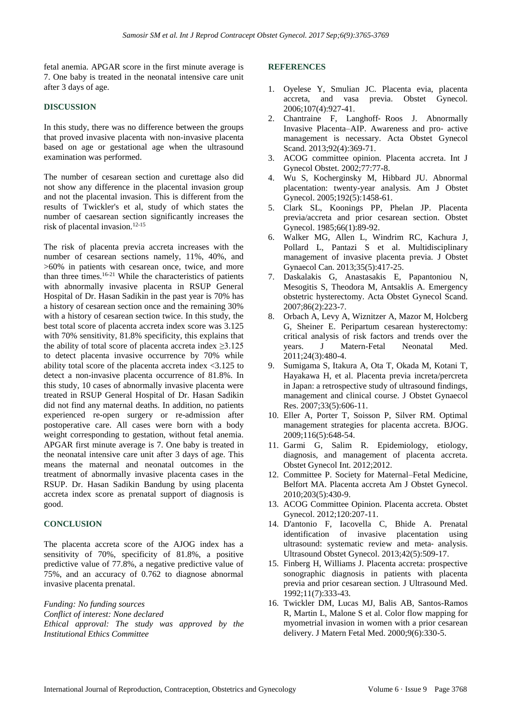fetal anemia. APGAR score in the first minute average is 7. One baby is treated in the neonatal intensive care unit after 3 days of age.

# **DISCUSSION**

In this study, there was no difference between the groups that proved invasive placenta with non-invasive placenta based on age or gestational age when the ultrasound examination was performed.

The number of cesarean section and curettage also did not show any difference in the placental invasion group and not the placental invasion. This is different from the results of Twickler's et al, study of which states the number of caesarean section significantly increases the risk of placental invasion.12-15

The risk of placenta previa accreta increases with the number of cesarean sections namely, 11%, 40%, and >60% in patients with cesarean once, twice, and more than three times. 16-21 While the characteristics of patients with abnormally invasive placenta in RSUP General Hospital of Dr. Hasan Sadikin in the past year is 70% has a history of cesarean section once and the remaining 30% with a history of cesarean section twice. In this study, the best total score of placenta accreta index score was 3.125 with 70% sensitivity, 81.8% specificity, this explains that the ability of total score of placenta accreta index  $\geq 3.125$ to detect placenta invasive occurrence by 70% while ability total score of the placenta accreta index <3.125 to detect a non-invasive placenta occurrence of 81.8%. In this study, 10 cases of abnormally invasive placenta were treated in RSUP General Hospital of Dr. Hasan Sadikin did not find any maternal deaths. In addition, no patients experienced re-open surgery or re-admission after postoperative care. All cases were born with a body weight corresponding to gestation, without fetal anemia. APGAR first minute average is 7. One baby is treated in the neonatal intensive care unit after 3 days of age. This means the maternal and neonatal outcomes in the treatment of abnormally invasive placenta cases in the RSUP. Dr. Hasan Sadikin Bandung by using placenta accreta index score as prenatal support of diagnosis is good.

#### **CONCLUSION**

The placenta accreta score of the AJOG index has a sensitivity of 70%, specificity of 81.8%, a positive predictive value of 77.8%, a negative predictive value of 75%, and an accuracy of 0.762 to diagnose abnormal invasive placenta prenatal.

*Funding: No funding sources Conflict of interest: None declared Ethical approval: The study was approved by the Institutional Ethics Committee*

#### **REFERENCES**

- 1. Oyelese Y, Smulian JC. Placenta evia, placenta accreta, and vasa previa. Obstet Gynecol. 2006;107(4):927-41.
- 2. Chantraine F, Langhoff‐ Roos J. Abnormally Invasive Placenta–AIP. Awareness and pro‐ active management is necessary. Acta Obstet Gynecol Scand. 2013;92(4):369-71.
- 3. ACOG committee opinion. Placenta accreta. Int J Gynecol Obstet. 2002;77:77-8.
- 4. Wu S, Kocherginsky M, Hibbard JU. Abnormal placentation: twenty-year analysis. Am J Obstet Gynecol. 2005;192(5):1458-61.
- 5. Clark SL, Koonings PP, Phelan JP. Placenta previa/accreta and prior cesarean section. Obstet Gynecol. 1985;66(1):89-92.
- 6. Walker MG, Allen L, Windrim RC, Kachura J, Pollard L, Pantazi S et al. Multidisciplinary management of invasive placenta previa. J Obstet Gynaecol Can. 2013;35(5):417-25.
- 7. Daskalakis G, Anastasakis E, Papantoniou N, Mesogitis S, Theodora M, Antsaklis A. Emergency obstetric hysterectomy. Acta Obstet Gynecol Scand. 2007;86(2):223-7.
- 8. Orbach A, Levy A, Wiznitzer A, Mazor M, Holcberg G, Sheiner E. Peripartum cesarean hysterectomy: critical analysis of risk factors and trends over the years. J Matern-Fetal Neonatal Med. 2011;24(3):480-4.
- 9. Sumigama S, Itakura A, Ota T, Okada M, Kotani T, Hayakawa H, et al. Placenta previa increta/percreta in Japan: a retrospective study of ultrasound findings, management and clinical course. J Obstet Gynaecol Res. 2007;33(5):606-11.
- 10. Eller A, Porter T, Soisson P, Silver RM. Optimal management strategies for placenta accreta. BJOG. 2009;116(5):648-54.
- 11. Garmi G, Salim R. Epidemiology, etiology, diagnosis, and management of placenta accreta. Obstet Gynecol Int. 2012;2012.
- 12. Committee P. Society for Maternal–Fetal Medicine, Belfort MA. Placenta accreta Am J Obstet Gynecol. 2010;203(5):430-9.
- 13. ACOG Committee Opinion. Placenta accreta. Obstet Gynecol. 2012;120:207-11.
- 14. D'antonio F, Iacovella C, Bhide A. Prenatal identification of invasive placentation using ultrasound: systematic review and meta‐ analysis. Ultrasound Obstet Gynecol. 2013;42(5):509-17.
- 15. Finberg H, Williams J. Placenta accreta: prospective sonographic diagnosis in patients with placenta previa and prior cesarean section. J Ultrasound Med. 1992;11(7):333-43.
- 16. Twickler DM, Lucas MJ, Balis AB, Santos-Ramos R, Martin L, Malone S et al. Color flow mapping for myometrial invasion in women with a prior cesarean delivery. J Matern Fetal Med. 2000;9(6):330-5.